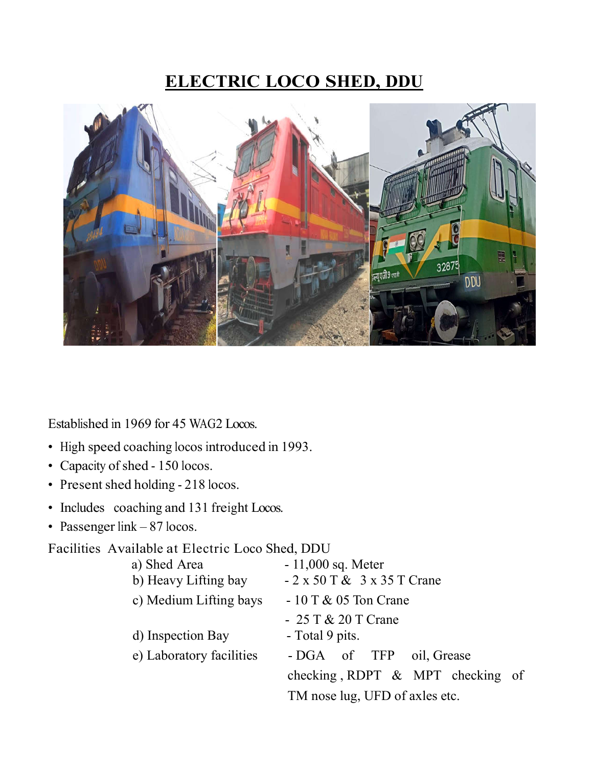# **ELECTRIC LOCO SHED, DDU**



Established in 1969 for 45 WAG2 Locos.

- High speed coaching locos introduced in 1993.
- Capacity of shed 150 locos.
- Present shed holding 218 locos.
- Includes coaching and 131 freight Locos.
- Passenger link 87 locos.

Facilities Available at Electric Loco Shed, DDU

| a) Shed Area             | $-11,000$ sq. Meter                      |  |  |
|--------------------------|------------------------------------------|--|--|
| b) Heavy Lifting bay     | $-2 \times 50$ T & $3 \times 35$ T Crane |  |  |
| c) Medium Lifting bays   | $-10$ T & 05 Ton Crane                   |  |  |
|                          | $-25T & 20T$ Crane                       |  |  |
| d) Inspection Bay        | - Total 9 pits.                          |  |  |
| e) Laboratory facilities | - DGA of TFP<br>oil, Grease              |  |  |
|                          | checking, RDPT $\&$ MPT checking of      |  |  |
|                          | TM nose lug, UFD of axles etc.           |  |  |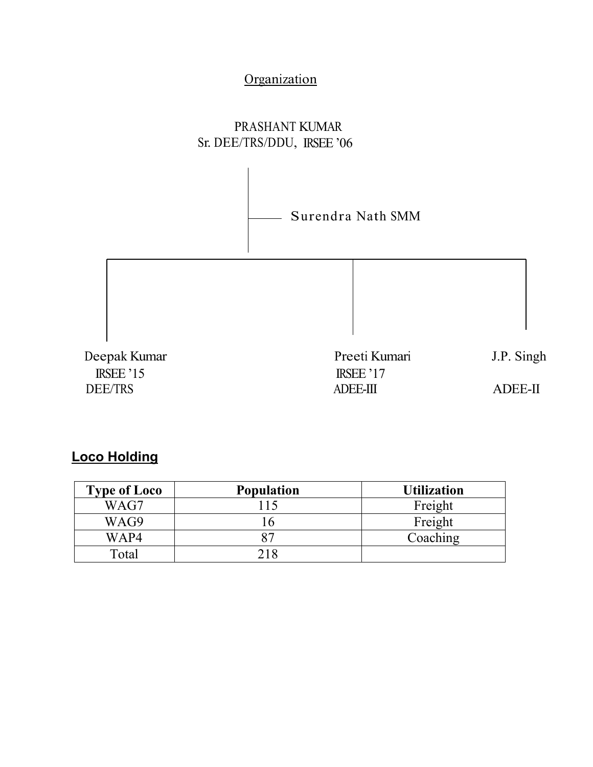# **Organization**

### PRASHANT KUMAR Sr. DEE/TRS/DDU, IRSEE'06



# **Loco Holding**

| <b>Type of Loco</b> | <b>Population</b> | <b>Utilization</b> |
|---------------------|-------------------|--------------------|
| WAG7                |                   | Freight            |
| WAG9                |                   | Freight            |
| WAP4                |                   | Coaching           |
| Total               |                   |                    |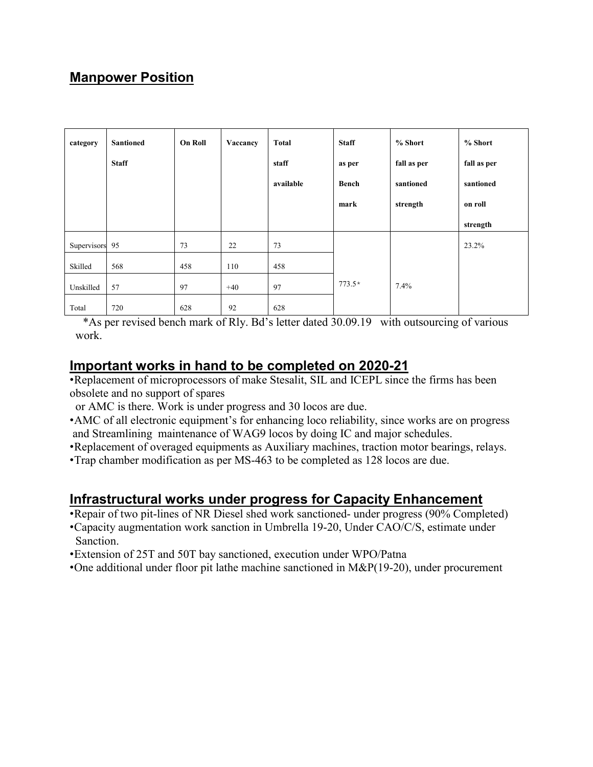## **Manpower Position**

| category       | <b>Santioned</b> | <b>On Roll</b> | Vaccancy | Total     | <b>Staff</b> | % Short     | % Short     |
|----------------|------------------|----------------|----------|-----------|--------------|-------------|-------------|
|                | <b>Staff</b>     |                |          | staff     | as per       | fall as per | fall as per |
|                |                  |                |          | available | <b>Bench</b> | santioned   | santioned   |
|                |                  |                |          |           | mark         | strength    | on roll     |
|                |                  |                |          |           |              |             | strength    |
| Supervisors 95 |                  | 73             | 22       | 73        |              |             | 23.2%       |
| Skilled        | 568              | 458            | 110      | 458       |              |             |             |
| Unskilled      | 57               | 97             | $+40$    | 97        | $773.5*$     | 7.4%        |             |
| Total          | 720              | 628            | 92       | 628       |              |             |             |

\*As per revised bench mark of Rly. Bd's letter dated 30.09.19 with outsourcing of various work.

#### **Important works in hand to be completed on 2020-21**

•Replacement of microprocessors of make Stesalit, SIL and ICEPL since the firms has been obsolete and no support of spares

or AMC is there. Work is under progress and 30 locos are due.

- •AMC of all electronic equipment's for enhancing loco reliability, since works are on progress and Streamlining maintenance of WAG9 locos by doing IC and major schedules.
- •Replacement of overaged equipments as Auxiliary machines, traction motor bearings, relays.

•Trap chamber modification as per MS-463 to be completed as 128 locos are due.

#### **Infrastructural works under progress for Capacity Enhancement**

- •Repair of two pit-lines of NR Diesel shed work sanctioned- under progress (90% Completed)
- •Capacity augmentation work sanction in Umbrella 19-20, Under CAO/C/S, estimate under Sanction.
- •Extension of 25T and 50T bay sanctioned, execution under WPO/Patna
- •One additional under floor pit lathe machine sanctioned in M&P(19-20), under procurement